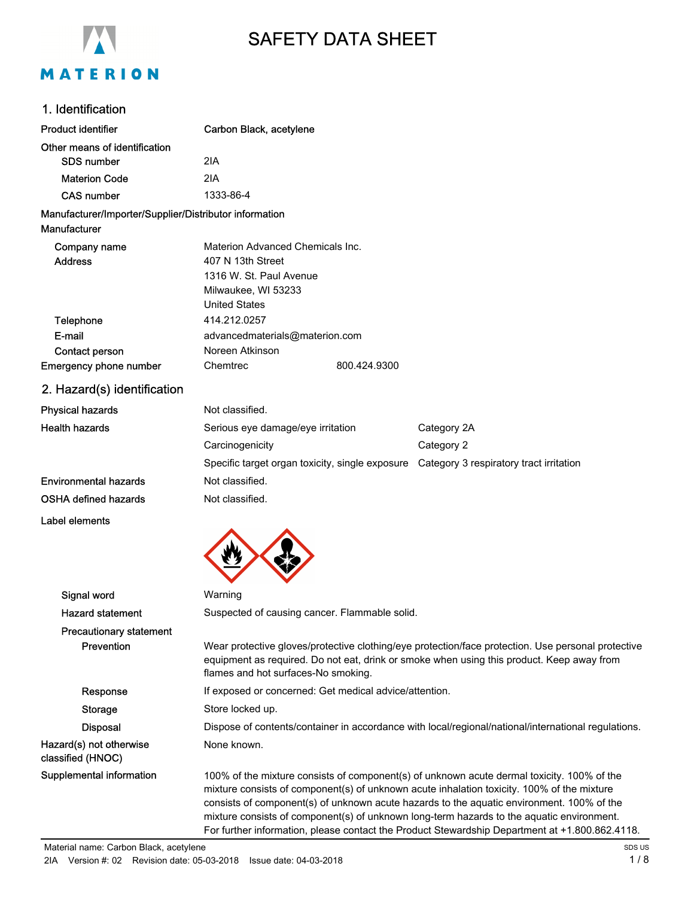

# SAFETY DATA SHEET

#### 1. Identification

| <b>Product identifier</b>                              | Carbon Black, acetylene                       |              |                                                                                         |
|--------------------------------------------------------|-----------------------------------------------|--------------|-----------------------------------------------------------------------------------------|
| Other means of identification                          |                                               |              |                                                                                         |
| <b>SDS number</b>                                      | 2IA                                           |              |                                                                                         |
| <b>Materion Code</b>                                   | 2IA                                           |              |                                                                                         |
| <b>CAS number</b>                                      | 1333-86-4                                     |              |                                                                                         |
| Manufacturer/Importer/Supplier/Distributor information |                                               |              |                                                                                         |
| Manufacturer                                           |                                               |              |                                                                                         |
| Company name                                           | Materion Advanced Chemicals Inc.              |              |                                                                                         |
| <b>Address</b>                                         | 407 N 13th Street                             |              |                                                                                         |
|                                                        | 1316 W. St. Paul Avenue                       |              |                                                                                         |
|                                                        | Milwaukee, WI 53233                           |              |                                                                                         |
|                                                        | <b>United States</b>                          |              |                                                                                         |
| Telephone                                              | 414.212.0257                                  |              |                                                                                         |
| E-mail                                                 | advancedmaterials@materion.com                |              |                                                                                         |
| Contact person                                         | Noreen Atkinson                               |              |                                                                                         |
| Emergency phone number                                 | Chemtrec                                      | 800.424.9300 |                                                                                         |
| 2. Hazard(s) identification                            |                                               |              |                                                                                         |
| <b>Physical hazards</b>                                | Not classified.                               |              |                                                                                         |
| <b>Health hazards</b>                                  | Serious eye damage/eye irritation             |              | Category 2A                                                                             |
|                                                        | Carcinogenicity                               |              | Category 2                                                                              |
|                                                        |                                               |              | Specific target organ toxicity, single exposure Category 3 respiratory tract irritation |
| <b>Environmental hazards</b>                           | Not classified.                               |              |                                                                                         |
| <b>OSHA defined hazards</b>                            | Not classified.                               |              |                                                                                         |
| Label elements                                         |                                               |              |                                                                                         |
|                                                        |                                               |              |                                                                                         |
| Signal word                                            | Warning                                       |              |                                                                                         |
| <b>Hazard statement</b>                                | Suspected of causing cancer. Flammable solid. |              |                                                                                         |
| <b>Precautionary statement</b>                         |                                               |              |                                                                                         |

Prevention Wear protective gloves/protective clothing/eye protection/face protection. Use personal protective equipment as required. Do not eat, drink or smoke when using this product. Keep away from flames and hot surfaces-No smoking. Response If exposed or concerned: Get medical advice/attention. Storage Store locked up. Disposal Dispose of contents/container in accordance with local/regional/national/international regulations. Hazard(s) not otherwise None known.

Supplemental information 100% of the mixture consists of component(s) of unknown acute dermal toxicity. 100% of the mixture consists of component(s) of unknown acute inhalation toxicity. 100% of the mixture consists of component(s) of unknown acute hazards to the aquatic environment. 100% of the mixture consists of component(s) of unknown long-term hazards to the aquatic environment. For further information, please contact the Product Stewardship Department at +1.800.862.4118.

classified (HNOC)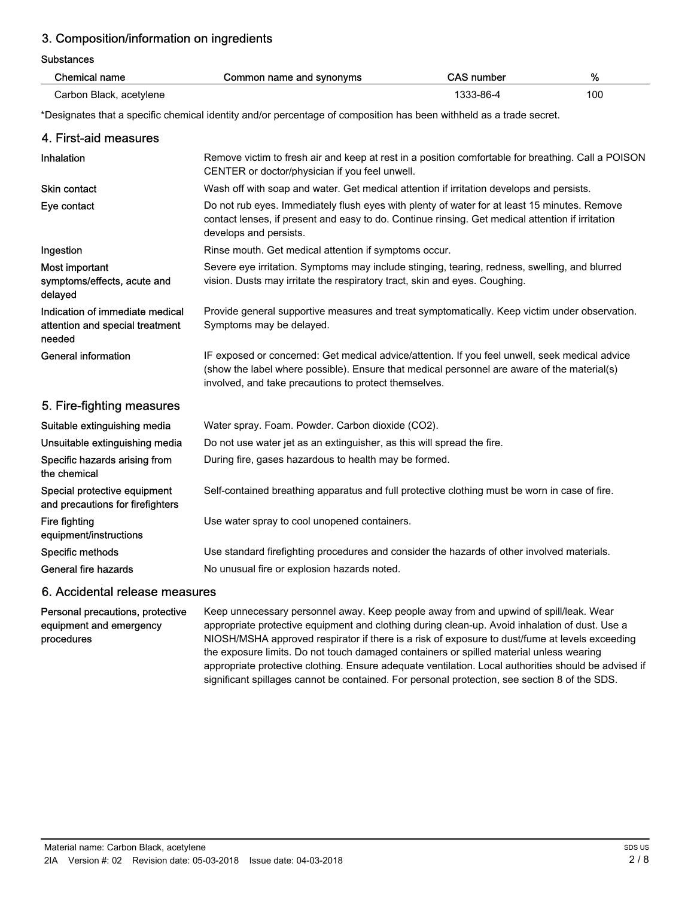## 3. Composition/information on ingredients

Substances

| <b>Chemical name</b>                                                         | Common name and synonyms                                                                                                                                                                                                                               | <b>CAS number</b> | %   |
|------------------------------------------------------------------------------|--------------------------------------------------------------------------------------------------------------------------------------------------------------------------------------------------------------------------------------------------------|-------------------|-----|
| Carbon Black, acetylene                                                      |                                                                                                                                                                                                                                                        | 1333-86-4         | 100 |
|                                                                              | *Designates that a specific chemical identity and/or percentage of composition has been withheld as a trade secret.                                                                                                                                    |                   |     |
| 4. First-aid measures                                                        |                                                                                                                                                                                                                                                        |                   |     |
| Inhalation                                                                   | Remove victim to fresh air and keep at rest in a position comfortable for breathing. Call a POISON<br>CENTER or doctor/physician if you feel unwell.                                                                                                   |                   |     |
| Skin contact                                                                 | Wash off with soap and water. Get medical attention if irritation develops and persists.                                                                                                                                                               |                   |     |
| Eye contact                                                                  | Do not rub eyes. Immediately flush eyes with plenty of water for at least 15 minutes. Remove<br>contact lenses, if present and easy to do. Continue rinsing. Get medical attention if irritation<br>develops and persists.                             |                   |     |
| Ingestion                                                                    | Rinse mouth. Get medical attention if symptoms occur.                                                                                                                                                                                                  |                   |     |
| Most important<br>symptoms/effects, acute and<br>delayed                     | Severe eye irritation. Symptoms may include stinging, tearing, redness, swelling, and blurred<br>vision. Dusts may irritate the respiratory tract, skin and eyes. Coughing.                                                                            |                   |     |
| Indication of immediate medical<br>attention and special treatment<br>needed | Provide general supportive measures and treat symptomatically. Keep victim under observation.<br>Symptoms may be delayed.                                                                                                                              |                   |     |
| <b>General information</b>                                                   | IF exposed or concerned: Get medical advice/attention. If you feel unwell, seek medical advice<br>(show the label where possible). Ensure that medical personnel are aware of the material(s)<br>involved, and take precautions to protect themselves. |                   |     |
| 5. Fire-fighting measures                                                    |                                                                                                                                                                                                                                                        |                   |     |
| Suitable extinguishing media                                                 | Water spray. Foam. Powder. Carbon dioxide (CO2).                                                                                                                                                                                                       |                   |     |
| Unsuitable extinguishing media                                               | Do not use water jet as an extinguisher, as this will spread the fire.                                                                                                                                                                                 |                   |     |
| Specific hazards arising from<br>the chemical                                | During fire, gases hazardous to health may be formed.                                                                                                                                                                                                  |                   |     |
| Special protective equipment<br>and precautions for firefighters             | Self-contained breathing apparatus and full protective clothing must be worn in case of fire.                                                                                                                                                          |                   |     |
| Fire fighting<br>equipment/instructions                                      | Use water spray to cool unopened containers.                                                                                                                                                                                                           |                   |     |
| Specific methods                                                             | Use standard firefighting procedures and consider the hazards of other involved materials.                                                                                                                                                             |                   |     |
| General fire hazards                                                         | No unusual fire or explosion hazards noted.                                                                                                                                                                                                            |                   |     |
|                                                                              |                                                                                                                                                                                                                                                        |                   |     |

#### 6. Accidental release measures

Keep unnecessary personnel away. Keep people away from and upwind of spill/leak. Wear appropriate protective equipment and clothing during clean-up. Avoid inhalation of dust. Use a NIOSH/MSHA approved respirator if there is a risk of exposure to dust/fume at levels exceeding the exposure limits. Do not touch damaged containers or spilled material unless wearing appropriate protective clothing. Ensure adequate ventilation. Local authorities should be advised if significant spillages cannot be contained. For personal protection, see section 8 of the SDS. Personal precautions, protective equipment and emergency procedures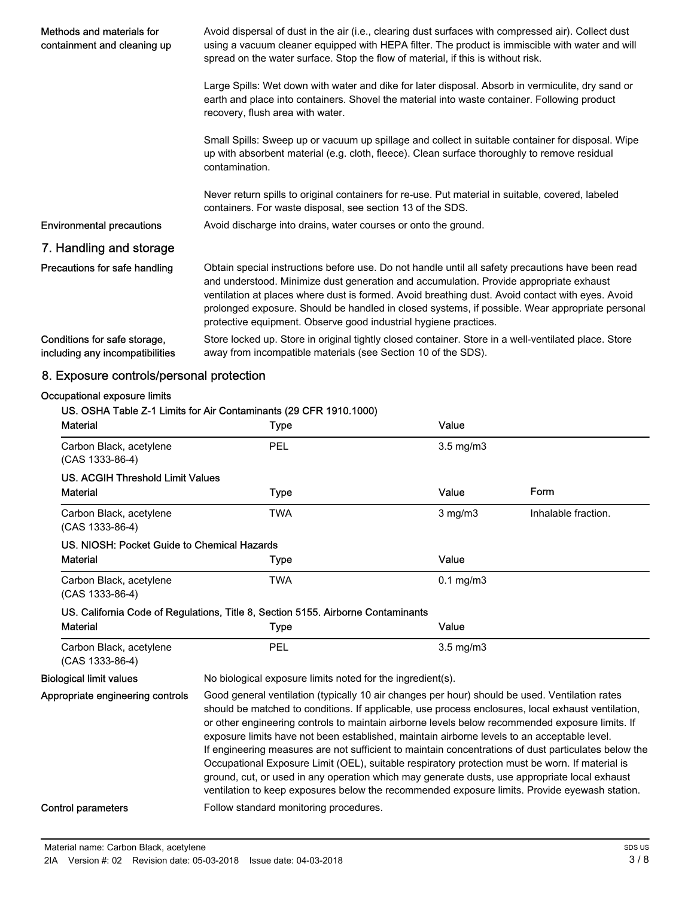| Methods and materials for<br>containment and cleaning up        | Avoid dispersal of dust in the air (i.e., clearing dust surfaces with compressed air). Collect dust<br>using a vacuum cleaner equipped with HEPA filter. The product is immiscible with water and will<br>spread on the water surface. Stop the flow of material, if this is without risk.                                                                                                                                                                             |
|-----------------------------------------------------------------|------------------------------------------------------------------------------------------------------------------------------------------------------------------------------------------------------------------------------------------------------------------------------------------------------------------------------------------------------------------------------------------------------------------------------------------------------------------------|
|                                                                 | Large Spills: Wet down with water and dike for later disposal. Absorb in vermiculite, dry sand or<br>earth and place into containers. Shovel the material into waste container. Following product<br>recovery, flush area with water.                                                                                                                                                                                                                                  |
|                                                                 | Small Spills: Sweep up or vacuum up spillage and collect in suitable container for disposal. Wipe<br>up with absorbent material (e.g. cloth, fleece). Clean surface thoroughly to remove residual<br>contamination.                                                                                                                                                                                                                                                    |
|                                                                 | Never return spills to original containers for re-use. Put material in suitable, covered, labeled<br>containers. For waste disposal, see section 13 of the SDS.                                                                                                                                                                                                                                                                                                        |
| <b>Environmental precautions</b>                                | Avoid discharge into drains, water courses or onto the ground.                                                                                                                                                                                                                                                                                                                                                                                                         |
| 7. Handling and storage                                         |                                                                                                                                                                                                                                                                                                                                                                                                                                                                        |
| Precautions for safe handling                                   | Obtain special instructions before use. Do not handle until all safety precautions have been read<br>and understood. Minimize dust generation and accumulation. Provide appropriate exhaust<br>ventilation at places where dust is formed. Avoid breathing dust. Avoid contact with eyes. Avoid<br>prolonged exposure. Should be handled in closed systems, if possible. Wear appropriate personal<br>protective equipment. Observe good industrial hygiene practices. |
| Conditions for safe storage,<br>including any incompatibilities | Store locked up. Store in original tightly closed container. Store in a well-ventilated place. Store<br>away from incompatible materials (see Section 10 of the SDS).                                                                                                                                                                                                                                                                                                  |

## 8. Exposure controls/personal protection

#### Occupational exposure limits

| <b>Material</b>                              | US. OSHA Table Z-1 Limits for Air Contaminants (29 CFR 1910.1000)<br><b>Type</b>                                                                                                                                                                                                                                                                                                                                                                                                                                                                                                                                                                                                                                   | Value              |                     |
|----------------------------------------------|--------------------------------------------------------------------------------------------------------------------------------------------------------------------------------------------------------------------------------------------------------------------------------------------------------------------------------------------------------------------------------------------------------------------------------------------------------------------------------------------------------------------------------------------------------------------------------------------------------------------------------------------------------------------------------------------------------------------|--------------------|---------------------|
| Carbon Black, acetylene<br>$(CAS 1333-86-4)$ | PEL                                                                                                                                                                                                                                                                                                                                                                                                                                                                                                                                                                                                                                                                                                                | $3.5 \text{ mg/m}$ |                     |
| <b>US. ACGIH Threshold Limit Values</b>      |                                                                                                                                                                                                                                                                                                                                                                                                                                                                                                                                                                                                                                                                                                                    |                    |                     |
| <b>Material</b>                              | <b>Type</b>                                                                                                                                                                                                                                                                                                                                                                                                                                                                                                                                                                                                                                                                                                        | Value              | Form                |
| Carbon Black, acetylene<br>(CAS 1333-86-4)   | <b>TWA</b>                                                                                                                                                                                                                                                                                                                                                                                                                                                                                                                                                                                                                                                                                                         | $3$ mg/m $3$       | Inhalable fraction. |
| US. NIOSH: Pocket Guide to Chemical Hazards  |                                                                                                                                                                                                                                                                                                                                                                                                                                                                                                                                                                                                                                                                                                                    |                    |                     |
| <b>Material</b>                              | <b>Type</b>                                                                                                                                                                                                                                                                                                                                                                                                                                                                                                                                                                                                                                                                                                        | Value              |                     |
| Carbon Black, acetylene<br>(CAS 1333-86-4)   | <b>TWA</b>                                                                                                                                                                                                                                                                                                                                                                                                                                                                                                                                                                                                                                                                                                         | $0.1$ mg/m $3$     |                     |
|                                              | US. California Code of Regulations, Title 8, Section 5155. Airborne Contaminants                                                                                                                                                                                                                                                                                                                                                                                                                                                                                                                                                                                                                                   |                    |                     |
| <b>Material</b>                              | <b>Type</b>                                                                                                                                                                                                                                                                                                                                                                                                                                                                                                                                                                                                                                                                                                        | Value              |                     |
| Carbon Black, acetylene<br>(CAS 1333-86-4)   | PEL                                                                                                                                                                                                                                                                                                                                                                                                                                                                                                                                                                                                                                                                                                                | $3.5$ mg/m $3$     |                     |
| <b>Biological limit values</b>               | No biological exposure limits noted for the ingredient(s).                                                                                                                                                                                                                                                                                                                                                                                                                                                                                                                                                                                                                                                         |                    |                     |
| Appropriate engineering controls             | Good general ventilation (typically 10 air changes per hour) should be used. Ventilation rates<br>should be matched to conditions. If applicable, use process enclosures, local exhaust ventilation,<br>or other engineering controls to maintain airborne levels below recommended exposure limits. If<br>exposure limits have not been established, maintain airborne levels to an acceptable level.<br>If engineering measures are not sufficient to maintain concentrations of dust particulates below the<br>Occupational Exposure Limit (OEL), suitable respiratory protection must be worn. If material is<br>ground, cut, or used in any operation which may generate dusts, use appropriate local exhaust |                    |                     |
|                                              | ventilation to keep exposures below the recommended exposure limits. Provide eyewash station.                                                                                                                                                                                                                                                                                                                                                                                                                                                                                                                                                                                                                      |                    |                     |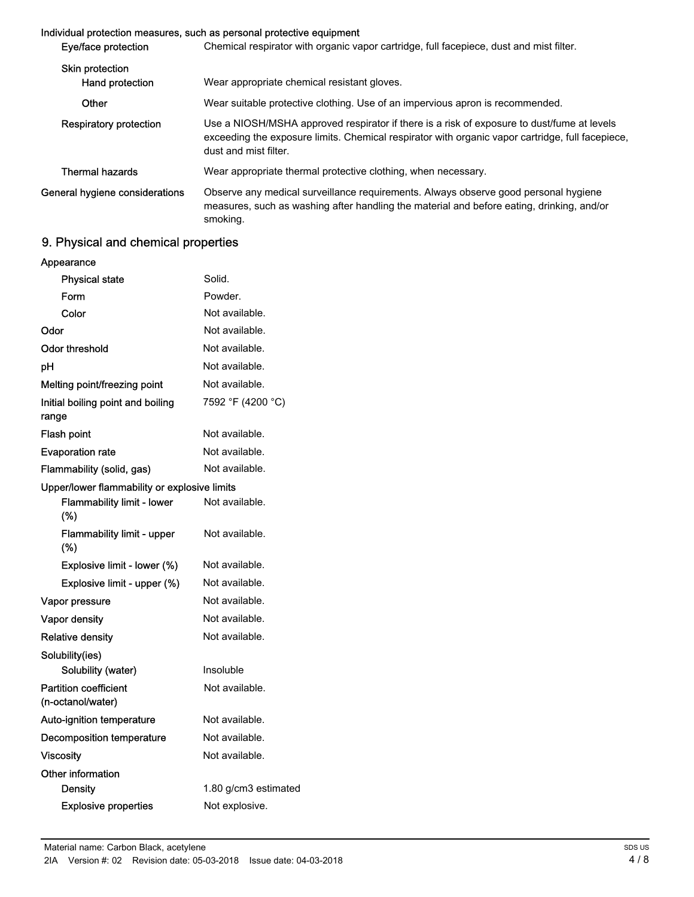#### Individual protection measures, such as personal protective equipment

| Eye/face protection                       | Chemical respirator with organic vapor cartridge, full facepiece, dust and mist filter.                                                                                                                                 |
|-------------------------------------------|-------------------------------------------------------------------------------------------------------------------------------------------------------------------------------------------------------------------------|
| <b>Skin protection</b><br>Hand protection | Wear appropriate chemical resistant gloves.                                                                                                                                                                             |
| Other                                     | Wear suitable protective clothing. Use of an impervious apron is recommended.                                                                                                                                           |
| <b>Respiratory protection</b>             | Use a NIOSH/MSHA approved respirator if there is a risk of exposure to dust/fume at levels<br>exceeding the exposure limits. Chemical respirator with organic vapor cartridge, full facepiece,<br>dust and mist filter. |
| <b>Thermal hazards</b>                    | Wear appropriate thermal protective clothing, when necessary.                                                                                                                                                           |
| General hygiene considerations            | Observe any medical surveillance requirements. Always observe good personal hygiene<br>measures, such as washing after handling the material and before eating, drinking, and/or<br>smoking.                            |

## 9. Physical and chemical properties

| Appearance                                        |                      |
|---------------------------------------------------|----------------------|
| <b>Physical state</b>                             | Solid.               |
| Form                                              | Powder.              |
| Color                                             | Not available.       |
| Odor                                              | Not available.       |
| Odor threshold                                    | Not available.       |
| рH                                                | Not available.       |
| Melting point/freezing point                      | Not available.       |
| Initial boiling point and boiling<br>range        | 7592 °F (4200 °C)    |
| <b>Flash point</b>                                | Not available.       |
| <b>Evaporation rate</b>                           | Not available.       |
| Flammability (solid, gas)                         | Not available.       |
| Upper/lower flammability or explosive limits      |                      |
| <b>Flammability limit - lower</b><br>(%)          | Not available.       |
| <b>Flammability limit - upper</b><br>(%)          | Not available.       |
| Explosive limit - lower (%)                       | Not available.       |
| Explosive limit - upper (%)                       | Not available.       |
| Vapor pressure                                    | Not available.       |
| <b>Vapor density</b>                              | Not available.       |
| Relative density                                  | Not available.       |
| Solubility(ies)                                   |                      |
| Solubility (water)                                | Insoluble            |
| <b>Partition coefficient</b><br>(n-octanol/water) | Not available.       |
| Auto-ignition temperature                         | Not available.       |
| <b>Decomposition temperature</b>                  | Not available.       |
| Viscosity                                         | Not available.       |
| Other information                                 |                      |
| Density                                           | 1.80 g/cm3 estimated |
| <b>Explosive properties</b>                       | Not explosive.       |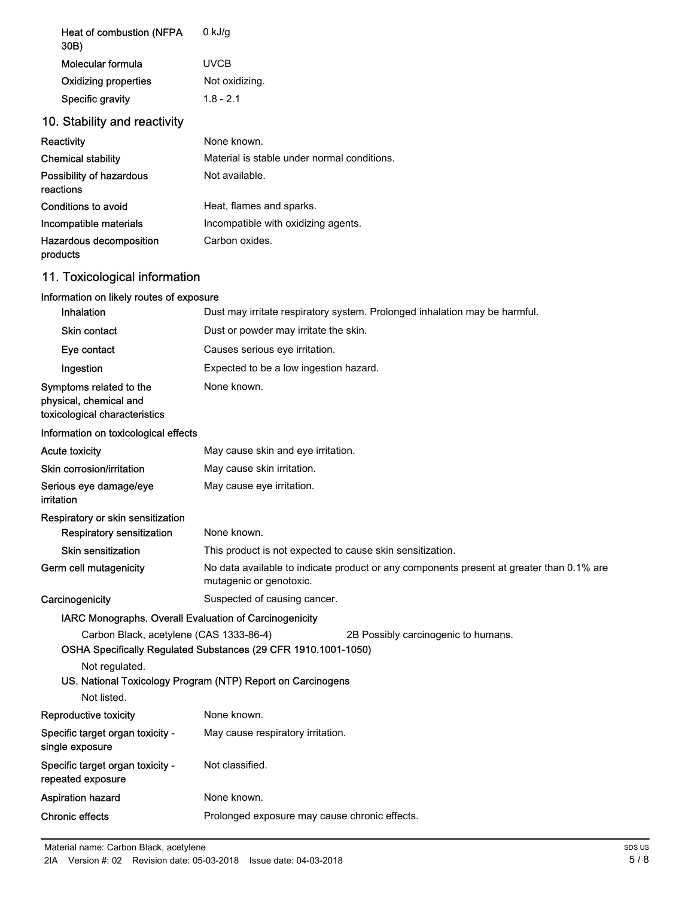| Heat of combustion (NFPA<br>30B)                                                   | $0$ kJ/g                                                                                                            |
|------------------------------------------------------------------------------------|---------------------------------------------------------------------------------------------------------------------|
| <b>Molecular formula</b>                                                           | <b>UVCB</b>                                                                                                         |
| <b>Oxidizing properties</b>                                                        | Not oxidizing.                                                                                                      |
| Specific gravity                                                                   | $1.8 - 2.1$                                                                                                         |
| 10. Stability and reactivity                                                       |                                                                                                                     |
| Reactivity                                                                         | None known.                                                                                                         |
| <b>Chemical stability</b>                                                          | Material is stable under normal conditions.                                                                         |
| Possibility of hazardous<br>reactions                                              | Not available.                                                                                                      |
| <b>Conditions to avoid</b>                                                         | Heat, flames and sparks.                                                                                            |
| Incompatible materials                                                             | Incompatible with oxidizing agents.                                                                                 |
| Hazardous decomposition<br>products                                                | Carbon oxides.                                                                                                      |
| 11. Toxicological information                                                      |                                                                                                                     |
| Information on likely routes of exposure                                           |                                                                                                                     |
| Inhalation                                                                         | Dust may irritate respiratory system. Prolonged inhalation may be harmful.                                          |
| <b>Skin contact</b>                                                                | Dust or powder may irritate the skin.                                                                               |
| Eye contact                                                                        | Causes serious eye irritation.                                                                                      |
| Ingestion                                                                          | Expected to be a low ingestion hazard.                                                                              |
| Symptoms related to the<br>physical, chemical and<br>toxicological characteristics | None known.                                                                                                         |
| Information on toxicological effects                                               |                                                                                                                     |
| <b>Acute toxicity</b>                                                              | May cause skin and eye irritation.                                                                                  |
| Skin corrosion/irritation                                                          | May cause skin irritation.                                                                                          |
| Serious eye damage/eye<br>irritation                                               | May cause eye irritation.                                                                                           |
| Respiratory or skin sensitization                                                  |                                                                                                                     |
| Respiratory sensitization                                                          | None known.                                                                                                         |
| <b>Skin sensitization</b>                                                          | This product is not expected to cause skin sensitization.                                                           |
| Germ cell mutagenicity                                                             | No data available to indicate product or any components present at greater than 0.1% are<br>mutagenic or genotoxic. |
| Carcinogenicity                                                                    | Suspected of causing cancer.                                                                                        |
| IARC Monographs. Overall Evaluation of Carcinogenicity                             |                                                                                                                     |
| Carbon Black, acetylene (CAS 1333-86-4)                                            | 2B Possibly carcinogenic to humans.<br>OSHA Specifically Regulated Substances (29 CFR 1910.1001-1050)               |
| Not regulated.                                                                     | US. National Toxicology Program (NTP) Report on Carcinogens                                                         |
| Not listed.                                                                        |                                                                                                                     |
| Reproductive toxicity                                                              | None known.                                                                                                         |
| Specific target organ toxicity -<br>single exposure                                | May cause respiratory irritation.                                                                                   |
| Specific target organ toxicity -<br>repeated exposure                              | Not classified.                                                                                                     |
| <b>Aspiration hazard</b>                                                           | None known.                                                                                                         |
| <b>Chronic effects</b>                                                             | Prolonged exposure may cause chronic effects.                                                                       |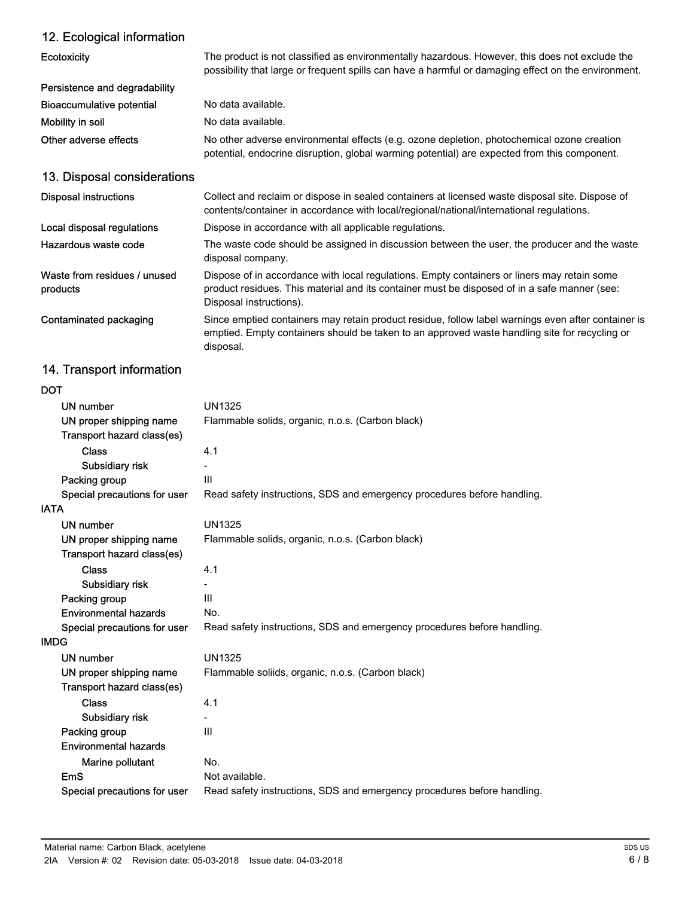## 12. Ecological information

| <b>Ecotoxicity</b>                       | The product is not classified as environmentally hazardous. However, this does not exclude the<br>possibility that large or frequent spills can have a harmful or damaging effect on the environment.                  |
|------------------------------------------|------------------------------------------------------------------------------------------------------------------------------------------------------------------------------------------------------------------------|
| Persistence and degradability            |                                                                                                                                                                                                                        |
| Bioaccumulative potential                | No data available.                                                                                                                                                                                                     |
| Mobility in soil                         | No data available.                                                                                                                                                                                                     |
| Other adverse effects                    | No other adverse environmental effects (e.g. ozone depletion, photochemical ozone creation<br>potential, endocrine disruption, global warming potential) are expected from this component.                             |
| 13. Disposal considerations              |                                                                                                                                                                                                                        |
| <b>Disposal instructions</b>             | Collect and reclaim or dispose in sealed containers at licensed waste disposal site. Dispose of<br>contents/container in accordance with local/regional/national/international regulations.                            |
| Local disposal regulations               | Dispose in accordance with all applicable regulations.                                                                                                                                                                 |
| Hazardous waste code                     | The waste code should be assigned in discussion between the user, the producer and the waste<br>disposal company.                                                                                                      |
| Waste from residues / unused<br>products | Dispose of in accordance with local regulations. Empty containers or liners may retain some<br>product residues. This material and its container must be disposed of in a safe manner (see:<br>Disposal instructions). |
| Contaminated packaging                   | Since emptied containers may retain product residue, follow label warnings even after container is<br>emptied. Empty containers should be taken to an approved waste handling site for recycling or<br>disposal.       |

## 14. Transport information

| ۰.<br>×<br>v<br>٧ |
|-------------------|
|-------------------|

| DOT                          |                                                                         |
|------------------------------|-------------------------------------------------------------------------|
| UN number                    | <b>UN1325</b>                                                           |
| UN proper shipping name      | Flammable solids, organic, n.o.s. (Carbon black)                        |
| Transport hazard class(es)   |                                                                         |
| <b>Class</b>                 | 4.1                                                                     |
| Subsidiary risk              |                                                                         |
| Packing group                | III                                                                     |
| Special precautions for user | Read safety instructions, SDS and emergency procedures before handling. |
| <b>IATA</b>                  |                                                                         |
| <b>UN number</b>             | <b>UN1325</b>                                                           |
| UN proper shipping name      | Flammable solids, organic, n.o.s. (Carbon black)                        |
| Transport hazard class(es)   |                                                                         |
| <b>Class</b>                 | 4.1                                                                     |
| Subsidiary risk              |                                                                         |
| Packing group                | III                                                                     |
| <b>Environmental hazards</b> | No.                                                                     |
| Special precautions for user | Read safety instructions, SDS and emergency procedures before handling. |
| <b>IMDG</b>                  |                                                                         |
| UN number                    | UN1325                                                                  |
| UN proper shipping name      | Flammable soliids, organic, n.o.s. (Carbon black)                       |
| Transport hazard class(es)   |                                                                         |
| <b>Class</b>                 | 4.1                                                                     |
| Subsidiary risk              |                                                                         |
| Packing group                | $\mathbf{III}$                                                          |
| <b>Environmental hazards</b> |                                                                         |
| Marine pollutant             | No.                                                                     |
| <b>EmS</b>                   | Not available.                                                          |
| Special precautions for user | Read safety instructions, SDS and emergency procedures before handling. |
|                              |                                                                         |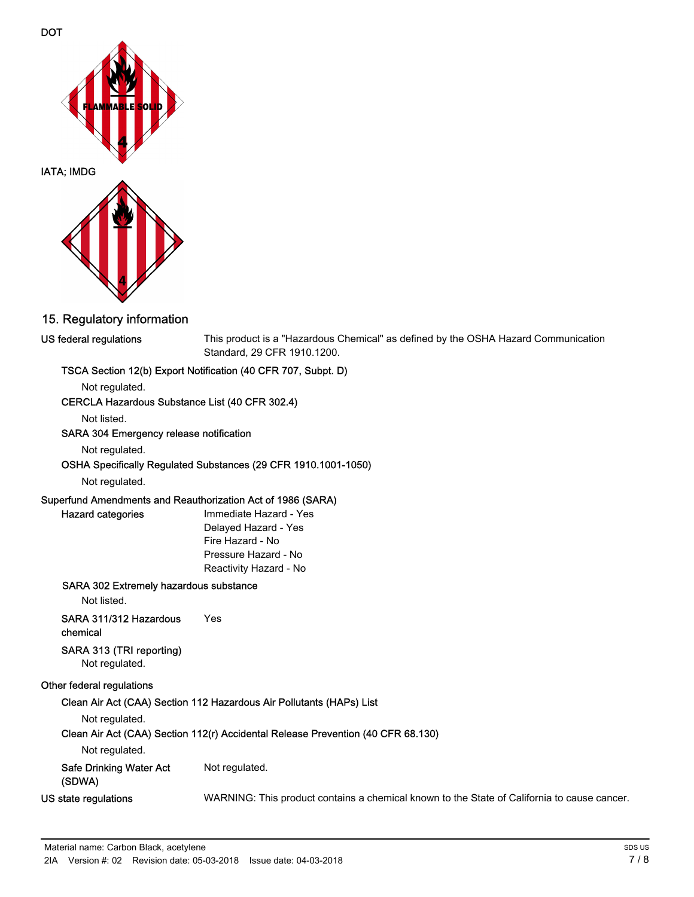

### 15. Regulatory information

#### US federal regulations

This product is a "Hazardous Chemical" as defined by the OSHA Hazard Communication Standard, 29 CFR 1910.1200.

#### TSCA Section 12(b) Export Notification (40 CFR 707, Subpt. D)

Not regulated.

#### CERCLA Hazardous Substance List (40 CFR 302.4)

Not listed.

#### SARA 304 Emergency release notification

Not regulated.

#### OSHA Specifically Regulated Substances (29 CFR 1910.1001-1050)

Not regulated.

Hazard categories

#### Superfund Amendments and Reauthorization Act of 1986 (SARA)

Immediate Hazard - Yes Delayed Hazard - Yes Fire Hazard - No Pressure Hazard - No Reactivity Hazard - No

#### SARA 302 Extremely hazardous substance

Not listed.

## SARA 311/312 Hazardous Yes

chemical

### SARA 313 (TRI reporting)

Not regulated.

#### Other federal regulations

#### Clean Air Act (CAA) Section 112 Hazardous Air Pollutants (HAPs) List

Not regulated.

#### Clean Air Act (CAA) Section 112(r) Accidental Release Prevention (40 CFR 68.130)

Not regulated.

### Safe Drinking Water Act Not regulated.

(SDWA)

US state regulations WARNING: This product contains a chemical known to the State of California to cause cancer.